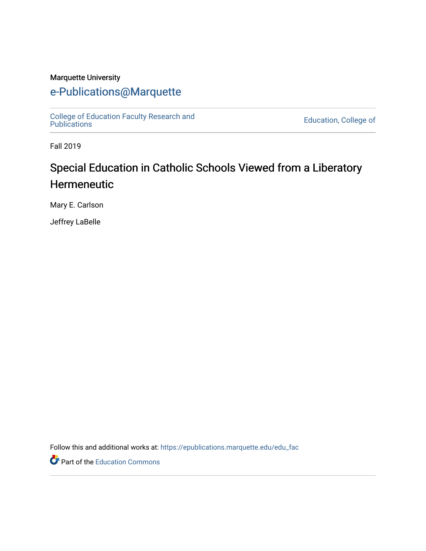### Marquette University

## [e-Publications@Marquette](https://epublications.marquette.edu/)

[College of Education Faculty Research and](https://epublications.marquette.edu/edu_fac)  [Publications](https://epublications.marquette.edu/edu_fac) [Education, College of](https://epublications.marquette.edu/education) 

Fall 2019

# Special Education in Catholic Schools Viewed from a Liberatory Hermeneutic

Mary E. Carlson

Jeffrey LaBelle

Follow this and additional works at: [https://epublications.marquette.edu/edu\\_fac](https://epublications.marquette.edu/edu_fac?utm_source=epublications.marquette.edu%2Fedu_fac%2F532&utm_medium=PDF&utm_campaign=PDFCoverPages) 

Part of the [Education Commons](http://network.bepress.com/hgg/discipline/784?utm_source=epublications.marquette.edu%2Fedu_fac%2F532&utm_medium=PDF&utm_campaign=PDFCoverPages)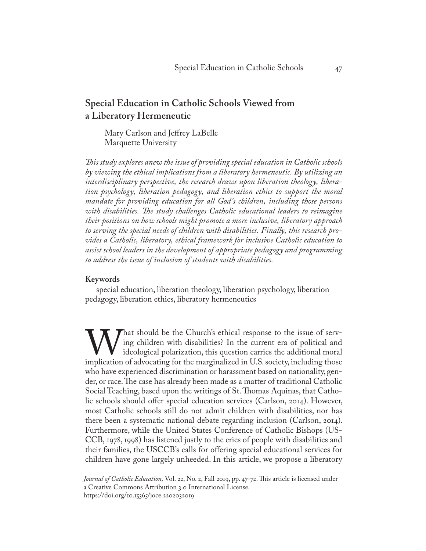## **Special Education in Catholic Schools Viewed from a Liberatory Hermeneutic**

Mary Carlson and Jeffrey LaBelle Marquette University

*This study explores anew the issue of providing special education in Catholic schools by viewing the ethical implications from a liberatory hermeneutic. By utilizing an interdisciplinary perspective, the research draws upon liberation theology, liberation psychology, liberation pedagogy, and liberation ethics to support the moral mandate for providing education for all God's children, including those persons with disabilities. The study challenges Catholic educational leaders to reimagine their positions on how schools might promote a more inclusive, liberatory approach to serving the special needs of children with disabilities. Finally, this research provides a Catholic, liberatory, ethical framework for inclusive Catholic education to assist school leaders in the development of appropriate pedagogy and programming to address the issue of inclusion of students with disabilities.*

#### **Keywords**

special education, liberation theology, liberation psychology, liberation pedagogy, liberation ethics, liberatory hermeneutics

What should be the Church's ethical response to the issue of serv-<br>ing children with disabilities? In the current era of political and<br>implication of advocating for the marginalized in U.S. society, including those ing children with disabilities? In the current era of political and ideological polarization, this question carries the additional moral who have experienced discrimination or harassment based on nationality, gender, or race. The case has already been made as a matter of traditional Catholic Social Teaching, based upon the writings of St. Thomas Aquinas, that Catholic schools should offer special education services (Carlson, 2014). However, most Catholic schools still do not admit children with disabilities, nor has there been a systematic national debate regarding inclusion (Carlson, 2014). Furthermore, while the United States Conference of Catholic Bishops (US-CCB, 1978, 1998) has listened justly to the cries of people with disabilities and their families, the USCCB's calls for offering special educational services for children have gone largely unheeded. In this article, we propose a liberatory

*Journal of Catholic Education,* Vol. 22, No. 2, Fall 2019, pp. 47-72. This article is licensed under a Creative Commons Attribution 3.0 International License.

https://doi.org/10.15365/joce.2202032019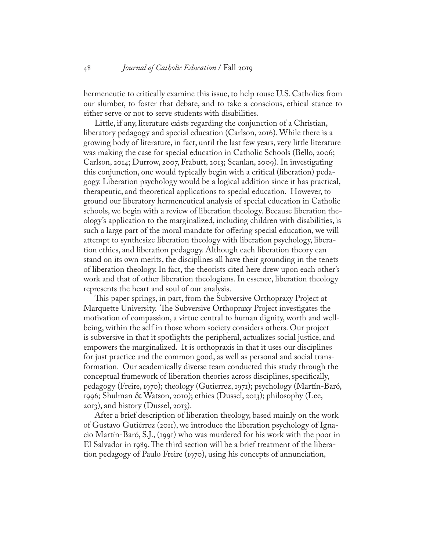hermeneutic to critically examine this issue, to help rouse U.S. Catholics from our slumber, to foster that debate, and to take a conscious, ethical stance to either serve or not to serve students with disabilities.

Little, if any, literature exists regarding the conjunction of a Christian, liberatory pedagogy and special education (Carlson, 2016). While there is a growing body of literature, in fact, until the last few years, very little literature was making the case for special education in Catholic Schools (Bello, 2006; Carlson, 2014; Durrow, 2007, Frabutt, 2013; Scanlan, 2009). In investigating this conjunction, one would typically begin with a critical (liberation) pedagogy. Liberation psychology would be a logical addition since it has practical, therapeutic, and theoretical applications to special education. However, to ground our liberatory hermeneutical analysis of special education in Catholic schools, we begin with a review of liberation theology. Because liberation theology's application to the marginalized, including children with disabilities, is such a large part of the moral mandate for offering special education, we will attempt to synthesize liberation theology with liberation psychology, liberation ethics, and liberation pedagogy. Although each liberation theory can stand on its own merits, the disciplines all have their grounding in the tenets of liberation theology. In fact, the theorists cited here drew upon each other's work and that of other liberation theologians. In essence, liberation theology represents the heart and soul of our analysis.

This paper springs, in part, from the Subversive Orthopraxy Project at Marquette University. The Subversive Orthopraxy Project investigates the motivation of compassion, a virtue central to human dignity, worth and wellbeing, within the self in those whom society considers others. Our project is subversive in that it spotlights the peripheral, actualizes social justice, and empowers the marginalized. It is orthopraxis in that it uses our disciplines for just practice and the common good, as well as personal and social transformation. Our academically diverse team conducted this study through the conceptual framework of liberation theories across disciplines, specifically, pedagogy (Freire, 1970); theology (Gutierrez, 1971); psychology (Martín-Baró, 1996; Shulman & Watson, 2010); ethics (Dussel, 2013); philosophy (Lee,  $2013$ , and history (Dussel,  $2013$ ).

After a brief description of liberation theology, based mainly on the work of Gustavo Gutiérrez (2011), we introduce the liberation psychology of Ignacio Martín-Baró, S.J., (1991) who was murdered for his work with the poor in El Salvador in 1989. The third section will be a brief treatment of the liberation pedagogy of Paulo Freire (1970), using his concepts of annunciation,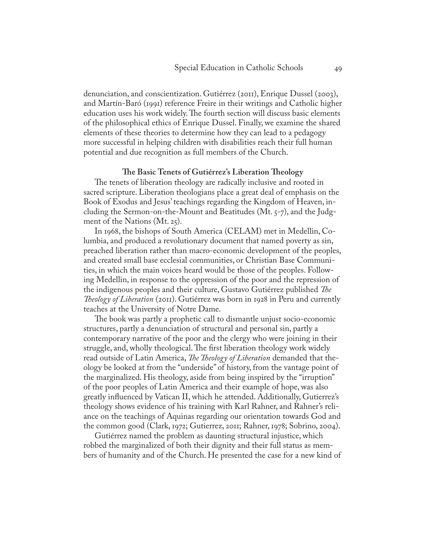denunciation, and conscientization. Gutiérrez (2011), Enrique Dussel (2003), and Martín-Baró (1991) reference Freire in their writings and Catholic higher education uses his work widely. The fourth section will discuss basic elements of the philosophical ethics of Enrique Dussel. Finally, we examine the shared elements of these theories to determine how they can lead to a pedagogy more successful in helping children with disabilities reach their full human potential and due recognition as full members of the Church.

#### **The Basic Tenets of Gutiérrez's Liberation Theology**

The tenets of liberation theology are radically inclusive and rooted in sacred scripture. Liberation theologians place a great deal of emphasis on the Book of Exodus and Jesus' teachings regarding the Kingdom of Heaven, including the Sermon-on-the-Mount and Beatitudes (Mt. 5-7), and the Judgment of the Nations (Mt. 25).

In 1968, the bishops of South America (CELAM) met in Medellin, Columbia, and produced a revolutionary document that named poverty as sin, preached liberation rather than macro-economic development of the peoples, and created small base ecclesial communities, or Christian Base Communities, in which the main voices heard would be those of the peoples. Following Medellin, in response to the oppression of the poor and the repression of the indigenous peoples and their culture, Gustavo Gutiérrez published *The Theology of Liberation* (2011). Gutiérrez was born in 1928 in Peru and currently teaches at the University of Notre Dame.

The book was partly a prophetic call to dismantle unjust socio-economic structures, partly a denunciation of structural and personal sin, partly a contemporary narrative of the poor and the clergy who were joining in their struggle, and, wholly theological. The first liberation theology work widely read outside of Latin America, *The Theology of Liberation* demanded that theology be looked at from the "underside" of history, from the vantage point of the marginalized. His theology, aside from being inspired by the "irruption" of the poor peoples of Latin America and their example of hope, was also greatly influenced by Vatican II, which he attended. Additionally, Gutierrez's theology shows evidence of his training with Karl Rahner, and Rahner's reliance on the teachings of Aquinas regarding our orientation towards God and the common good (Clark, 1972; Gutierrez, 2011; Rahner, 1978; Sobrino, 2004).

Gutiérrez named the problem as daunting structural injustice, which robbed the marginalized of both their dignity and their full status as members of humanity and of the Church. He presented the case for a new kind of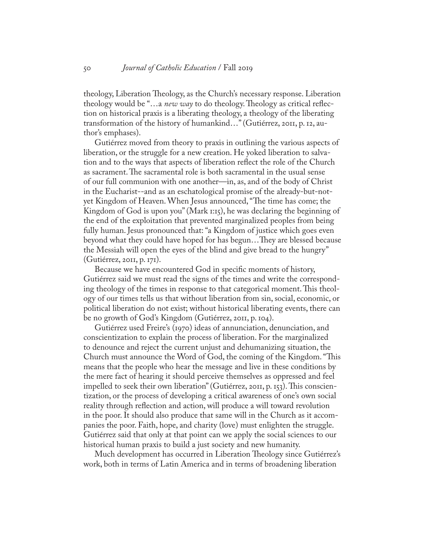theology, Liberation Theology, as the Church's necessary response. Liberation theology would be "…a *new way* to do theology. Theology as critical reflection on historical praxis is a liberating theology, a theology of the liberating transformation of the history of humankind…" (Gutiérrez, 2011, p. 12, author's emphases).

Gutiérrez moved from theory to praxis in outlining the various aspects of liberation, or the struggle for a new creation. He yoked liberation to salvation and to the ways that aspects of liberation reflect the role of the Church as sacrament. The sacramental role is both sacramental in the usual sense of our full communion with one another—in, as, and of the body of Christ in the Eucharist--and as an eschatological promise of the already-but-notyet Kingdom of Heaven. When Jesus announced, "The time has come; the Kingdom of God is upon you" (Mark 1:15), he was declaring the beginning of the end of the exploitation that prevented marginalized peoples from being fully human. Jesus pronounced that: "a Kingdom of justice which goes even beyond what they could have hoped for has begun…They are blessed because the Messiah will open the eyes of the blind and give bread to the hungry" (Gutiérrez, 2011, p. 171).

Because we have encountered God in specific moments of history, Gutiérrez said we must read the signs of the times and write the corresponding theology of the times in response to that categorical moment. This theology of our times tells us that without liberation from sin, social, economic, or political liberation do not exist; without historical liberating events, there can be no growth of God's Kingdom (Gutiérrez, 2011, p. 104).

Gutiérrez used Freire's (1970) ideas of annunciation, denunciation, and conscientization to explain the process of liberation. For the marginalized to denounce and reject the current unjust and dehumanizing situation, the Church must announce the Word of God, the coming of the Kingdom. "This means that the people who hear the message and live in these conditions by the mere fact of hearing it should perceive themselves as oppressed and feel impelled to seek their own liberation" (Gutiérrez, 2011, p. 153). This conscientization, or the process of developing a critical awareness of one's own social reality through reflection and action, will produce a will toward revolution in the poor. It should also produce that same will in the Church as it accompanies the poor. Faith, hope, and charity (love) must enlighten the struggle. Gutiérrez said that only at that point can we apply the social sciences to our historical human praxis to build a just society and new humanity.

Much development has occurred in Liberation Theology since Gutiérrez's work, both in terms of Latin America and in terms of broadening liberation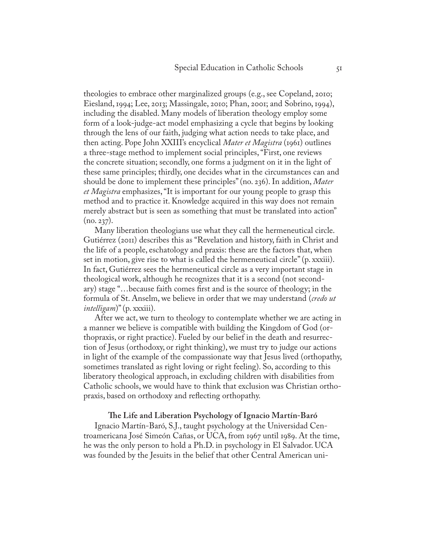theologies to embrace other marginalized groups (e.g., see Copeland, 2010; Eiesland, 1994; Lee, 2013; Massingale, 2010; Phan, 2001; and Sobrino, 1994), including the disabled. Many models of liberation theology employ some form of a look-judge-act model emphasizing a cycle that begins by looking through the lens of our faith, judging what action needs to take place, and then acting. Pope John XXIII's encyclical *Mater et Magistra* (1961) outlines a three-stage method to implement social principles, "First, one reviews the concrete situation; secondly, one forms a judgment on it in the light of these same principles; thirdly, one decides what in the circumstances can and should be done to implement these principles" (no. 236). In addition, *Mater et Magistra* emphasizes, "It is important for our young people to grasp this method and to practice it. Knowledge acquired in this way does not remain merely abstract but is seen as something that must be translated into action"  $(no. 237).$ 

Many liberation theologians use what they call the hermeneutical circle. Gutiérrez (2011) describes this as "Revelation and history, faith in Christ and the life of a people, eschatology and praxis: these are the factors that, when set in motion, give rise to what is called the hermeneutical circle" (p. xxxiii). In fact, Gutiérrez sees the hermeneutical circle as a very important stage in theological work, although he recognizes that it is a second (not secondary) stage "…because faith comes first and is the source of theology; in the formula of St. Anselm, we believe in order that we may understand (*credo ut intelligam*)" (p. xxxiii).

After we act, we turn to theology to contemplate whether we are acting in a manner we believe is compatible with building the Kingdom of God (orthopraxis, or right practice). Fueled by our belief in the death and resurrection of Jesus (orthodoxy, or right thinking), we must try to judge our actions in light of the example of the compassionate way that Jesus lived (orthopathy, sometimes translated as right loving or right feeling). So, according to this liberatory theological approach, in excluding children with disabilities from Catholic schools, we would have to think that exclusion was Christian orthopraxis, based on orthodoxy and reflecting orthopathy.

#### **The Life and Liberation Psychology of Ignacio Martín-Baró**

Ignacio Martín-Baró, S.J., taught psychology at the Universidad Centroamericana José Simeón Cañas, or UCA, from 1967 until 1989. At the time, he was the only person to hold a Ph.D. in psychology in El Salvador. UCA was founded by the Jesuits in the belief that other Central American uni-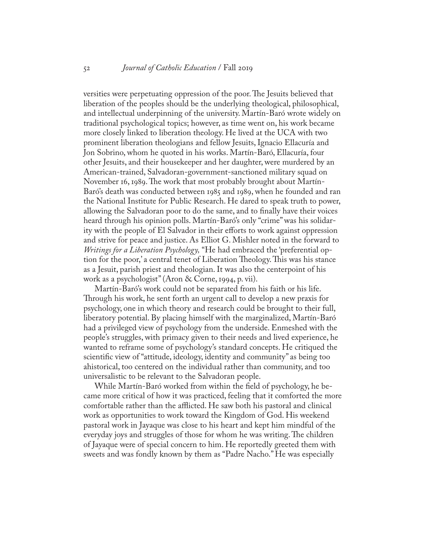versities were perpetuating oppression of the poor. The Jesuits believed that liberation of the peoples should be the underlying theological, philosophical, and intellectual underpinning of the university. Martín-Baró wrote widely on traditional psychological topics; however, as time went on, his work became more closely linked to liberation theology. He lived at the UCA with two prominent liberation theologians and fellow Jesuits, Ignacio Ellacuría and Jon Sobrino, whom he quoted in his works. Martín-Baró, Ellacuría, four other Jesuits, and their housekeeper and her daughter, were murdered by an American-trained, Salvadoran-government-sanctioned military squad on November 16, 1989. The work that most probably brought about Martín-Baró's death was conducted between 1985 and 1989, when he founded and ran the National Institute for Public Research. He dared to speak truth to power, allowing the Salvadoran poor to do the same, and to finally have their voices heard through his opinion polls. Martín-Baró's only "crime" was his solidarity with the people of El Salvador in their efforts to work against oppression and strive for peace and justice. As Elliot G. Mishler noted in the forward to *Writings for a Liberation Psychology,* "He had embraced the 'preferential option for the poor,' a central tenet of Liberation Theology. This was his stance as a Jesuit, parish priest and theologian. It was also the centerpoint of his work as a psychologist" (Aron & Corne, 1994, p. vii).

Martín-Baró's work could not be separated from his faith or his life. Through his work, he sent forth an urgent call to develop a new praxis for psychology, one in which theory and research could be brought to their full, liberatory potential. By placing himself with the marginalized, Martín-Baró had a privileged view of psychology from the underside. Enmeshed with the people's struggles, with primacy given to their needs and lived experience, he wanted to reframe some of psychology's standard concepts. He critiqued the scientific view of "attitude, ideology, identity and community" as being too ahistorical, too centered on the individual rather than community, and too universalistic to be relevant to the Salvadoran people.

While Martín-Baró worked from within the field of psychology, he became more critical of how it was practiced, feeling that it comforted the more comfortable rather than the afflicted. He saw both his pastoral and clinical work as opportunities to work toward the Kingdom of God. His weekend pastoral work in Jayaque was close to his heart and kept him mindful of the everyday joys and struggles of those for whom he was writing. The children of Jayaque were of special concern to him. He reportedly greeted them with sweets and was fondly known by them as "Padre Nacho." He was especially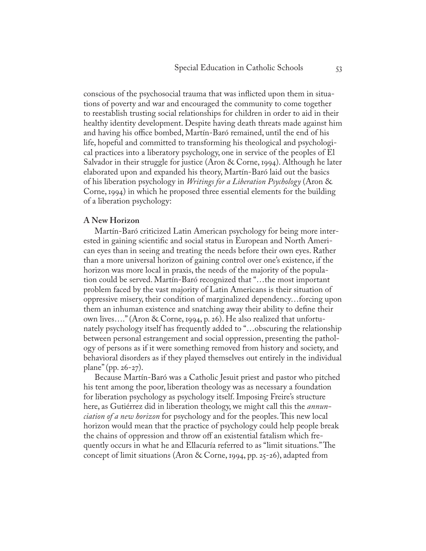conscious of the psychosocial trauma that was inflicted upon them in situations of poverty and war and encouraged the community to come together to reestablish trusting social relationships for children in order to aid in their healthy identity development. Despite having death threats made against him and having his office bombed, Martín-Baró remained, until the end of his life, hopeful and committed to transforming his theological and psychological practices into a liberatory psychology, one in service of the peoples of El Salvador in their struggle for justice (Aron & Corne, 1994). Although he later elaborated upon and expanded his theory, Martín-Baró laid out the basics of his liberation psychology in *Writings for a Liberation Psychology* (Aron & Corne, 1994) in which he proposed three essential elements for the building of a liberation psychology:

#### **A New Horizon**

Martín-Baró criticized Latin American psychology for being more interested in gaining scientific and social status in European and North American eyes than in seeing and treating the needs before their own eyes. Rather than a more universal horizon of gaining control over one's existence, if the horizon was more local in praxis, the needs of the majority of the population could be served. Martín-Baró recognized that "…the most important problem faced by the vast majority of Latin Americans is their situation of oppressive misery, their condition of marginalized dependency…forcing upon them an inhuman existence and snatching away their ability to define their own lives…." (Aron & Corne, 1994, p. 26). He also realized that unfortunately psychology itself has frequently added to "…obscuring the relationship between personal estrangement and social oppression, presenting the pathology of persons as if it were something removed from history and society, and behavioral disorders as if they played themselves out entirely in the individual plane" (pp. 26-27).

Because Martín-Baró was a Catholic Jesuit priest and pastor who pitched his tent among the poor, liberation theology was as necessary a foundation for liberation psychology as psychology itself. Imposing Freire's structure here, as Gutiérrez did in liberation theology, we might call this the *annunciation of a new horizon* for psychology and for the peoples. This new local horizon would mean that the practice of psychology could help people break the chains of oppression and throw off an existential fatalism which frequently occurs in what he and Ellacuría referred to as "limit situations." The concept of limit situations (Aron & Corne, 1994, pp. 25-26), adapted from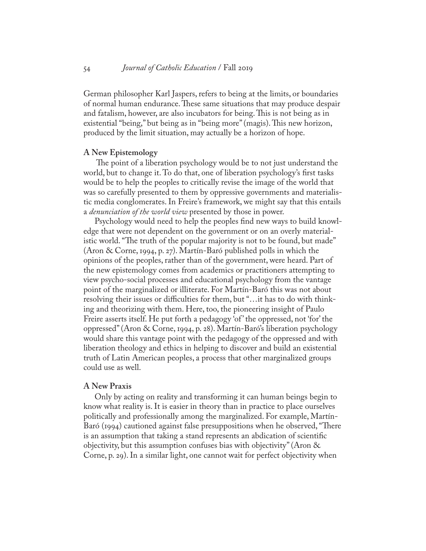German philosopher Karl Jaspers, refers to being at the limits, or boundaries of normal human endurance. These same situations that may produce despair and fatalism, however, are also incubators for being. This is not being as in existential "being," but being as in "being more" (magis). This new horizon, produced by the limit situation, may actually be a horizon of hope.

#### **A New Epistemology**

The point of a liberation psychology would be to not just understand the world, but to change it. To do that, one of liberation psychology's first tasks would be to help the peoples to critically revise the image of the world that was so carefully presented to them by oppressive governments and materialistic media conglomerates. In Freire's framework, we might say that this entails a *denunciation of the world view* presented by those in power.

Psychology would need to help the peoples find new ways to build knowledge that were not dependent on the government or on an overly materialistic world. "The truth of the popular majority is not to be found, but made" (Aron & Corne, 1994, p. 27). Martín-Baró published polls in which the opinions of the peoples, rather than of the government, were heard. Part of the new epistemology comes from academics or practitioners attempting to view psycho-social processes and educational psychology from the vantage point of the marginalized or illiterate. For Martín-Baró this was not about resolving their issues or difficulties for them, but "…it has to do with thinking and theorizing with them. Here, too, the pioneering insight of Paulo Freire asserts itself. He put forth a pedagogy 'of ' the oppressed, not 'for' the oppressed" (Aron & Corne, 1994, p. 28). Martín-Baró's liberation psychology would share this vantage point with the pedagogy of the oppressed and with liberation theology and ethics in helping to discover and build an existential truth of Latin American peoples, a process that other marginalized groups could use as well.

#### **A New Praxis**

Only by acting on reality and transforming it can human beings begin to know what reality is. It is easier in theory than in practice to place ourselves politically and professionally among the marginalized. For example, Martín-Baró (1994) cautioned against false presuppositions when he observed, "There is an assumption that taking a stand represents an abdication of scientific objectivity, but this assumption confuses bias with objectivity" (Aron & Corne, p. 29). In a similar light, one cannot wait for perfect objectivity when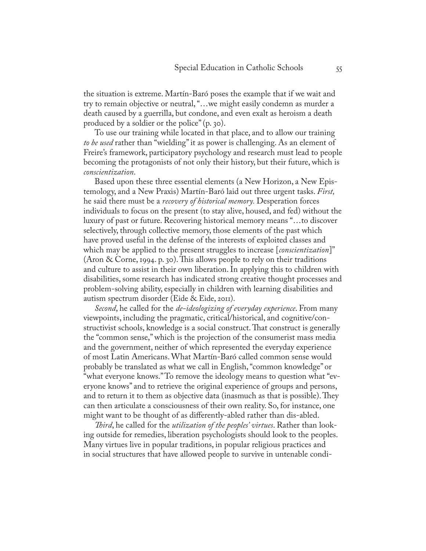the situation is extreme. Martín-Baró poses the example that if we wait and try to remain objective or neutral, "…we might easily condemn as murder a death caused by a guerrilla, but condone, and even exalt as heroism a death produced by a soldier or the police" (p. 30).

To use our training while located in that place, and to allow our training *to be used* rather than "wielding" it as power is challenging. As an element of Freire's framework, participatory psychology and research must lead to people becoming the protagonists of not only their history, but their future, which is *conscientization*.

Based upon these three essential elements (a New Horizon, a New Epistemology, and a New Praxis) Martín-Baró laid out three urgent tasks. *First,*  he said there must be a *recovery of historical memory.* Desperation forces individuals to focus on the present (to stay alive, housed, and fed) without the luxury of past or future. Recovering historical memory means "…to discover selectively, through collective memory, those elements of the past which have proved useful in the defense of the interests of exploited classes and which may be applied to the present struggles to increase [*conscientization*]" (Aron & Corne, 1994. p. 30). This allows people to rely on their traditions and culture to assist in their own liberation. In applying this to children with disabilities, some research has indicated strong creative thought processes and problem-solving ability, especially in children with learning disabilities and autism spectrum disorder (Eide & Eide, 2011).

*Second*, he called for the *de-ideologizing of everyday experience*. From many viewpoints, including the pragmatic, critical/historical, and cognitive/constructivist schools, knowledge is a social construct. That construct is generally the "common sense," which is the projection of the consumerist mass media and the government, neither of which represented the everyday experience of most Latin Americans. What Martín-Baró called common sense would probably be translated as what we call in English, "common knowledge" or "what everyone knows." To remove the ideology means to question what "everyone knows" and to retrieve the original experience of groups and persons, and to return it to them as objective data (inasmuch as that is possible). They can then articulate a consciousness of their own reality. So, for instance, one might want to be thought of as differently-abled rather than dis-abled.

*Third*, he called for the *utilization of the peoples' virtues*. Rather than looking outside for remedies, liberation psychologists should look to the peoples. Many virtues live in popular traditions, in popular religious practices and in social structures that have allowed people to survive in untenable condi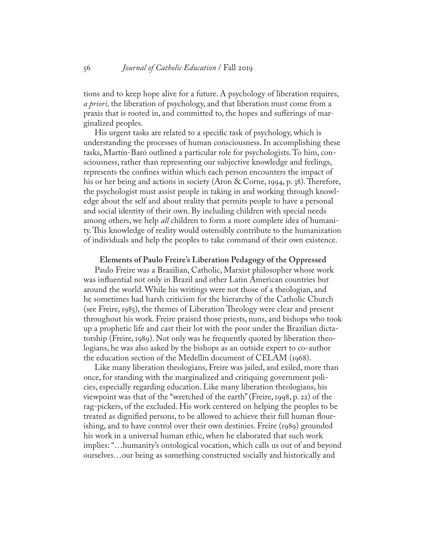tions and to keep hope alive for a future. A psychology of liberation requires, *a priori,* the liberation of psychology, and that liberation must come from a praxis that is rooted in, and committed to, the hopes and sufferings of marginalized peoples.

His urgent tasks are related to a specific task of psychology, which is understanding the processes of human consciousness. In accomplishing these tasks, Martín-Baró outlined a particular role for psychologists. To him, consciousness, rather than representing our subjective knowledge and feelings, represents the confines within which each person encounters the impact of his or her being and actions in society (Aron & Corne, 1994, p. 38). Therefore, the psychologist must assist people in taking in and working through knowledge about the self and about reality that permits people to have a personal and social identity of their own. By including children with special needs among others, we help *all* children to form a more complete idea of humanity. This knowledge of reality would ostensibly contribute to the humanization of individuals and help the peoples to take command of their own existence.

#### **Elements of Paulo Freire's Liberation Pedagogy of the Oppressed**

Paulo Freire was a Brazilian, Catholic, Marxist philosopher whose work was influential not only in Brazil and other Latin American countries but around the world. While his writings were not those of a theologian, and he sometimes had harsh criticism for the hierarchy of the Catholic Church (see Freire, 1985), the themes of Liberation Theology were clear and present throughout his work. Freire praised those priests, nuns, and bishops who took up a prophetic life and cast their lot with the poor under the Brazilian dictatorship (Freire, 1989). Not only was he frequently quoted by liberation theologians, he was also asked by the bishops as an outside expert to co-author the education section of the Medellin document of CELAM (1968).

Like many liberation theologians, Freire was jailed, and exiled, more than once, for standing with the marginalized and critiquing government policies, especially regarding education. Like many liberation theologians, his viewpoint was that of the "wretched of the earth" (Freire, 1998, p. 22) of the rag-pickers, of the excluded. His work centered on helping the peoples to be treated as dignified persons, to be allowed to achieve their full human flourishing, and to have control over their own destinies. Freire (1989) grounded his work in a universal human ethic, when he elaborated that such work implies: "…humanity's ontological vocation, which calls us out of and beyond ourselves…our being as something constructed socially and historically and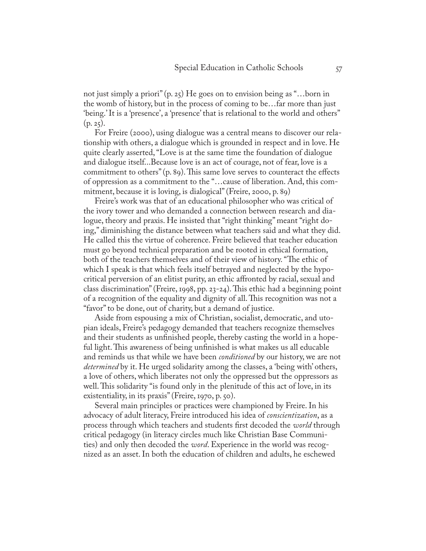not just simply a priori" (p. 25) He goes on to envision being as "…born in the womb of history, but in the process of coming to be…far more than just 'being.' It is a 'presence', a 'presence' that is relational to the world and others"  $(p. 25)$ .

For Freire (2000), using dialogue was a central means to discover our relationship with others, a dialogue which is grounded in respect and in love. He quite clearly asserted, "Love is at the same time the foundation of dialogue and dialogue itself...Because love is an act of courage, not of fear, love is a commitment to others" (p. 89). This same love serves to counteract the effects of oppression as a commitment to the "…cause of liberation. And, this commitment, because it is loving, is dialogical" (Freire, 2000, p. 89)

Freire's work was that of an educational philosopher who was critical of the ivory tower and who demanded a connection between research and dialogue, theory and praxis. He insisted that "right thinking" meant "right doing," diminishing the distance between what teachers said and what they did. He called this the virtue of coherence. Freire believed that teacher education must go beyond technical preparation and be rooted in ethical formation, both of the teachers themselves and of their view of history. "The ethic of which I speak is that which feels itself betrayed and neglected by the hypocritical perversion of an elitist purity, an ethic affronted by racial, sexual and class discrimination" (Freire, 1998, pp. 23-24). This ethic had a beginning point of a recognition of the equality and dignity of all. This recognition was not a "favor" to be done, out of charity, but a demand of justice.

Aside from espousing a mix of Christian, socialist, democratic, and utopian ideals, Freire's pedagogy demanded that teachers recognize themselves and their students as unfinished people, thereby casting the world in a hopeful light. This awareness of being unfinished is what makes us all educable and reminds us that while we have been *conditioned* by our history, we are not *determined* by it. He urged solidarity among the classes, a 'being with' others, a love of others, which liberates not only the oppressed but the oppressors as well. This solidarity "is found only in the plenitude of this act of love, in its existentiality, in its praxis" (Freire, 1970, p. 50).

Several main principles or practices were championed by Freire. In his advocacy of adult literacy, Freire introduced his idea of *conscientization*, as a process through which teachers and students first decoded the *world* through critical pedagogy (in literacy circles much like Christian Base Communities) and only then decoded the *word*. Experience in the world was recognized as an asset. In both the education of children and adults, he eschewed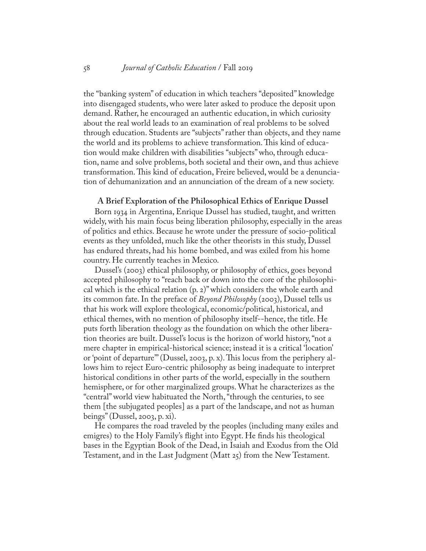the "banking system" of education in which teachers "deposited" knowledge into disengaged students, who were later asked to produce the deposit upon demand. Rather, he encouraged an authentic education, in which curiosity about the real world leads to an examination of real problems to be solved through education. Students are "subjects" rather than objects, and they name the world and its problems to achieve transformation. This kind of education would make children with disabilities "subjects" who, through education, name and solve problems, both societal and their own, and thus achieve transformation. This kind of education, Freire believed, would be a denunciation of dehumanization and an annunciation of the dream of a new society.

#### **A Brief Exploration of the Philosophical Ethics of Enrique Dussel**

Born 1934 in Argentina, Enrique Dussel has studied, taught, and written widely, with his main focus being liberation philosophy, especially in the areas of politics and ethics. Because he wrote under the pressure of socio-political events as they unfolded, much like the other theorists in this study, Dussel has endured threats, had his home bombed, and was exiled from his home country. He currently teaches in Mexico.

Dussel's (2003) ethical philosophy, or philosophy of ethics, goes beyond accepted philosophy to "reach back or down into the core of the philosophical which is the ethical relation (p. 2)" which considers the whole earth and its common fate. In the preface of *Beyond Philosophy* (2003), Dussel tells us that his work will explore theological, economic/political, historical, and ethical themes, with no mention of philosophy itself--hence, the title. He puts forth liberation theology as the foundation on which the other liberation theories are built. Dussel's locus is the horizon of world history, "not a mere chapter in empirical-historical science; instead it is a critical 'location' or 'point of departure'" (Dussel, 2003, p. x). This locus from the periphery allows him to reject Euro-centric philosophy as being inadequate to interpret historical conditions in other parts of the world, especially in the southern hemisphere, or for other marginalized groups. What he characterizes as the "central" world view habituated the North, "through the centuries, to see them [the subjugated peoples] as a part of the landscape, and not as human beings" (Dussel, 2003, p. xi).

He compares the road traveled by the peoples (including many exiles and emigres) to the Holy Family's flight into Egypt. He finds his theological bases in the Egyptian Book of the Dead, in Isaiah and Exodus from the Old Testament, and in the Last Judgment (Matt 25) from the New Testament.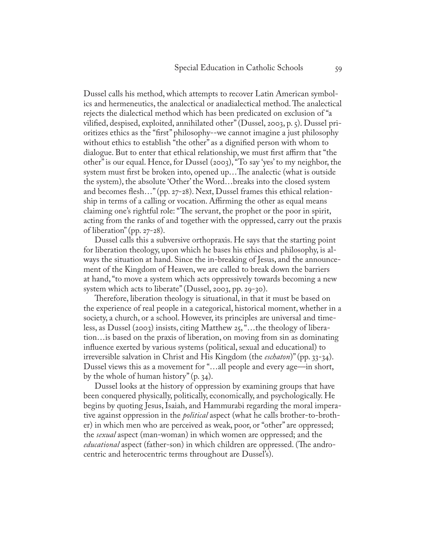Dussel calls his method, which attempts to recover Latin American symbolics and hermeneutics, the analectical or anadialectical method. The analectical rejects the dialectical method which has been predicated on exclusion of "a vilified, despised, exploited, annihilated other" (Dussel, 2003, p. 5). Dussel prioritizes ethics as the "first" philosophy--we cannot imagine a just philosophy without ethics to establish "the other" as a dignified person with whom to dialogue. But to enter that ethical relationship, we must first affirm that "the other" is our equal. Hence, for Dussel (2003), "To say 'yes' to my neighbor, the system must first be broken into, opened up…The analectic (what is outside the system), the absolute 'Other' the Word…breaks into the closed system and becomes flesh…" (pp. 27-28). Next, Dussel frames this ethical relationship in terms of a calling or vocation. Affirming the other as equal means claiming one's rightful role: "The servant, the prophet or the poor in spirit, acting from the ranks of and together with the oppressed, carry out the praxis of liberation" (pp. 27-28).

Dussel calls this a subversive orthopraxis. He says that the starting point for liberation theology, upon which he bases his ethics and philosophy, is always the situation at hand. Since the in-breaking of Jesus, and the announcement of the Kingdom of Heaven, we are called to break down the barriers at hand, "to move a system which acts oppressively towards becoming a new system which acts to liberate" (Dussel, 2003, pp. 29-30).

Therefore, liberation theology is situational, in that it must be based on the experience of real people in a categorical, historical moment, whether in a society, a church, or a school. However, its principles are universal and timeless, as Dussel (2003) insists, citing Matthew 25, "…the theology of liberation…is based on the praxis of liberation, on moving from sin as dominating influence exerted by various systems (political, sexual and educational) to irreversible salvation in Christ and His Kingdom (the *eschaton*)" (pp. 33-34). Dussel views this as a movement for "…all people and every age—in short, by the whole of human history" (p. 34).

Dussel looks at the history of oppression by examining groups that have been conquered physically, politically, economically, and psychologically. He begins by quoting Jesus, Isaiah, and Hammurabi regarding the moral imperative against oppression in the *political* aspect (what he calls brother-to-brother) in which men who are perceived as weak, poor, or "other" are oppressed; the *sexual* aspect (man-woman) in which women are oppressed; and the *educational* aspect (father-son) in which children are oppressed. (The androcentric and heterocentric terms throughout are Dussel's).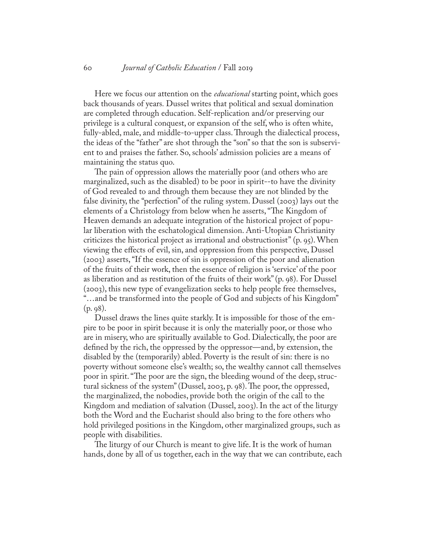Here we focus our attention on the *educational* starting point, which goes back thousands of years*.* Dussel writes that political and sexual domination are completed through education. Self-replication and/or preserving our privilege is a cultural conquest, or expansion of the self, who is often white, fully-abled, male, and middle-to-upper class. Through the dialectical process, the ideas of the "father" are shot through the "son" so that the son is subservient to and praises the father. So, schools' admission policies are a means of maintaining the status quo.

The pain of oppression allows the materially poor (and others who are marginalized, such as the disabled) to be poor in spirit--to have the divinity of God revealed to and through them because they are not blinded by the false divinity, the "perfection" of the ruling system. Dussel (2003) lays out the elements of a Christology from below when he asserts, "The Kingdom of Heaven demands an adequate integration of the historical project of popular liberation with the eschatological dimension. Anti-Utopian Christianity criticizes the historical project as irrational and obstructionist" (p. 95). When viewing the effects of evil, sin, and oppression from this perspective, Dussel (2003) asserts, "If the essence of sin is oppression of the poor and alienation of the fruits of their work, then the essence of religion is 'service' of the poor as liberation and as restitution of the fruits of their work" (p. 98). For Dussel (2003), this new type of evangelization seeks to help people free themselves, "…and be transformed into the people of God and subjects of his Kingdom" (p. 98).

Dussel draws the lines quite starkly. It is impossible for those of the empire to be poor in spirit because it is only the materially poor, or those who are in misery, who are spiritually available to God. Dialectically, the poor are defined by the rich, the oppressed by the oppressor—and, by extension, the disabled by the (temporarily) abled. Poverty is the result of sin: there is no poverty without someone else's wealth; so, the wealthy cannot call themselves poor in spirit. "The poor are the sign, the bleeding wound of the deep, structural sickness of the system" (Dussel, 2003, p. 98). The poor, the oppressed, the marginalized, the nobodies, provide both the origin of the call to the Kingdom and mediation of salvation (Dussel, 2003). In the act of the liturgy both the Word and the Eucharist should also bring to the fore others who hold privileged positions in the Kingdom, other marginalized groups, such as people with disabilities.

The liturgy of our Church is meant to give life. It is the work of human hands, done by all of us together, each in the way that we can contribute, each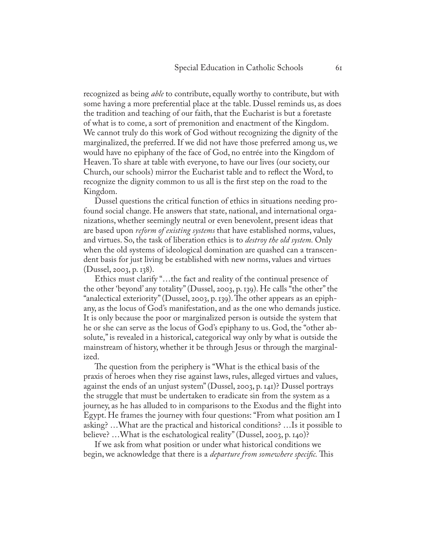recognized as being *able* to contribute, equally worthy to contribute, but with some having a more preferential place at the table. Dussel reminds us, as does the tradition and teaching of our faith, that the Eucharist is but a foretaste of what is to come, a sort of premonition and enactment of the Kingdom. We cannot truly do this work of God without recognizing the dignity of the marginalized, the preferred. If we did not have those preferred among us, we would have no epiphany of the face of God, no entrée into the Kingdom of Heaven. To share at table with everyone, to have our lives (our society, our Church, our schools) mirror the Eucharist table and to reflect the Word, to recognize the dignity common to us all is the first step on the road to the Kingdom.

Dussel questions the critical function of ethics in situations needing profound social change. He answers that state, national, and international organizations, whether seemingly neutral or even benevolent, present ideas that are based upon *reform of existing systems* that have established norms, values, and virtues. So, the task of liberation ethics is to *destroy the old system.* Only when the old systems of ideological domination are quashed can a transcendent basis for just living be established with new norms, values and virtues (Dussel, 2003, p. 138).

Ethics must clarify "…the fact and reality of the continual presence of the other 'beyond' any totality" (Dussel, 2003, p. 139). He calls "the other" the "analectical exteriority" (Dussel, 2003, p. 139). The other appears as an epiphany, as the locus of God's manifestation, and as the one who demands justice. It is only because the poor or marginalized person is outside the system that he or she can serve as the locus of God's epiphany to us. God, the "other absolute," is revealed in a historical, categorical way only by what is outside the mainstream of history, whether it be through Jesus or through the marginalized.

The question from the periphery is "What is the ethical basis of the praxis of heroes when they rise against laws, rules, alleged virtues and values, against the ends of an unjust system" (Dussel, 2003, p. 141)? Dussel portrays the struggle that must be undertaken to eradicate sin from the system as a journey, as he has alluded to in comparisons to the Exodus and the flight into Egypt. He frames the journey with four questions: "From what position am I asking? …What are the practical and historical conditions? …Is it possible to believe? …What is the eschatological reality" (Dussel, 2003, p. 140)?

If we ask from what position or under what historical conditions we begin, we acknowledge that there is a *departure from somewhere specific.* This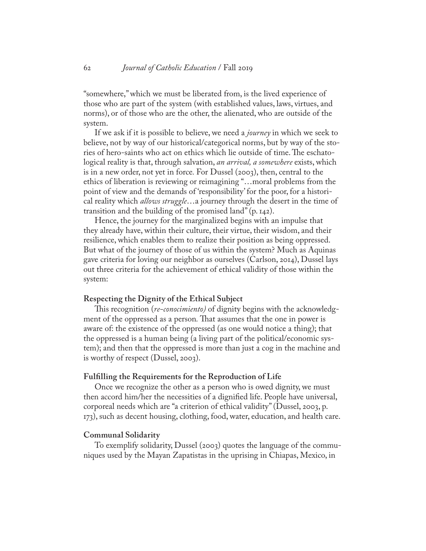"somewhere," which we must be liberated from, is the lived experience of those who are part of the system (with established values, laws, virtues, and norms), or of those who are the other, the alienated, who are outside of the system.

If we ask if it is possible to believe, we need a *journey* in which we seek to believe, not by way of our historical/categorical norms, but by way of the stories of hero-saints who act on ethics which lie outside of time. The eschatological reality is that, through salvation, *an arrival, a somewhere* exists, which is in a new order, not yet in force*.* For Dussel (2003), then, central to the ethics of liberation is reviewing or reimagining "…moral problems from the point of view and the demands of 'responsibility' for the poor, for a historical reality which *allows struggle*…a journey through the desert in the time of transition and the building of the promised land" (p. 142).

Hence, the journey for the marginalized begins with an impulse that they already have, within their culture, their virtue, their wisdom, and their resilience, which enables them to realize their position as being oppressed. But what of the journey of those of us within the system? Much as Aquinas gave criteria for loving our neighbor as ourselves (Carlson, 2014), Dussel lays out three criteria for the achievement of ethical validity of those within the system:

#### **Respecting the Dignity of the Ethical Subject**

This recognition (*re-conocimiento)* of dignity begins with the acknowledgment of the oppressed as a person*.* That assumes that the one in power is aware of: the existence of the oppressed (as one would notice a thing); that the oppressed is a human being (a living part of the political/economic system); and then that the oppressed is more than just a cog in the machine and is worthy of respect (Dussel, 2003).

#### **Fulfilling the Requirements for the Reproduction of Life**

Once we recognize the other as a person who is owed dignity, we must then accord him/her the necessities of a dignified life. People have universal, corporeal needs which are "a criterion of ethical validity" (Dussel, 2003, p. 173), such as decent housing, clothing, food, water, education, and health care.

#### **Communal Solidarity**

To exemplify solidarity, Dussel (2003) quotes the language of the communiques used by the Mayan Zapatistas in the uprising in Chiapas, Mexico, in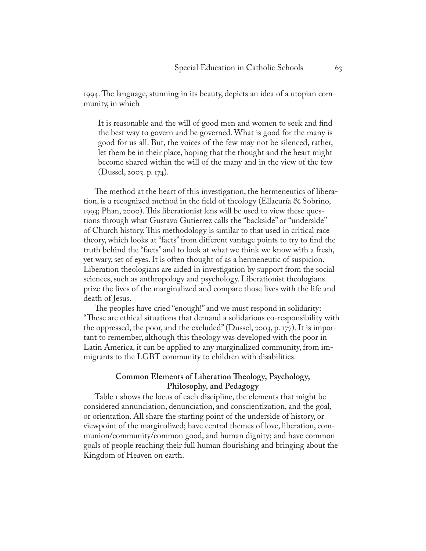1994. The language, stunning in its beauty, depicts an idea of a utopian community, in which

It is reasonable and the will of good men and women to seek and find the best way to govern and be governed. What is good for the many is good for us all. But, the voices of the few may not be silenced, rather, let them be in their place, hoping that the thought and the heart might become shared within the will of the many and in the view of the few (Dussel, 2003. p. 174).

The method at the heart of this investigation, the hermeneutics of liberation, is a recognized method in the field of theology (Ellacuría & Sobrino, 1993; Phan, 2000). This liberationist lens will be used to view these questions through what Gustavo Gutierrez calls the "backside" or "underside" of Church history. This methodology is similar to that used in critical race theory, which looks at "facts" from different vantage points to try to find the truth behind the "facts" and to look at what we think we know with a fresh, yet wary, set of eyes. It is often thought of as a hermeneutic of suspicion. Liberation theologians are aided in investigation by support from the social sciences, such as anthropology and psychology. Liberationist theologians prize the lives of the marginalized and compare those lives with the life and death of Jesus.

The peoples have cried "enough!" and we must respond in solidarity: "These are ethical situations that demand a solidarious co-responsibility with the oppressed, the poor, and the excluded" (Dussel, 2003, p. 177). It is important to remember, although this theology was developed with the poor in Latin America, it can be applied to any marginalized community, from immigrants to the LGBT community to children with disabilities.

#### **Common Elements of Liberation Theology, Psychology, Philosophy, and Pedagogy**

Table 1 shows the locus of each discipline, the elements that might be considered annunciation, denunciation, and conscientization, and the goal, or orientation. All share the starting point of the underside of history, or viewpoint of the marginalized; have central themes of love, liberation, communion/community/common good, and human dignity; and have common goals of people reaching their full human flourishing and bringing about the Kingdom of Heaven on earth.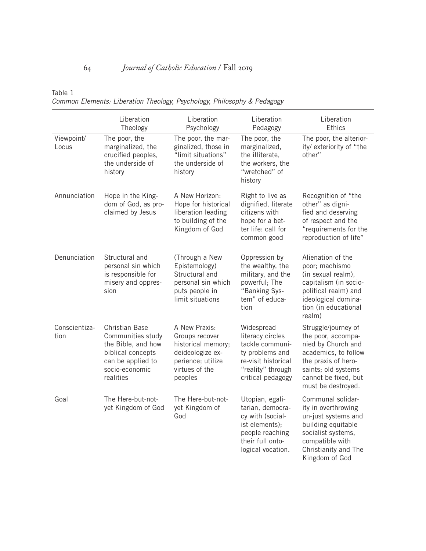Table 1

*Common Elements: Liberation Theology, Psychology, Philosophy & Pedagogy* 

|                       | Liberation<br>Theology                                                                                                                    | Liberation<br>Psychology                                                                                                    | Liberation<br>Pedagogy                                                                                                                | Liberation<br>Ethics                                                                                                                                                                |
|-----------------------|-------------------------------------------------------------------------------------------------------------------------------------------|-----------------------------------------------------------------------------------------------------------------------------|---------------------------------------------------------------------------------------------------------------------------------------|-------------------------------------------------------------------------------------------------------------------------------------------------------------------------------------|
| Viewpoint/<br>Locus   | The poor, the<br>marginalized, the<br>crucified peoples,<br>the underside of<br>history                                                   | The poor, the mar-<br>ginalized, those in<br>"limit situations"<br>the underside of<br>history                              | The poor, the<br>marginalized,<br>the illiterate,<br>the workers, the<br>"wretched" of<br>history                                     | The poor, the alterior-<br>ity/ exteriority of "the<br>other"                                                                                                                       |
| Annunciation          | Hope in the King-<br>dom of God, as pro-<br>claimed by Jesus                                                                              | A New Horizon:<br>Hope for historical<br>liberation leading<br>to building of the<br>Kingdom of God                         | Right to live as<br>dignified, literate<br>citizens with<br>hope for a bet-<br>ter life: call for<br>common good                      | Recognition of "the<br>other" as digni-<br>fied and deserving<br>of respect and the<br>"requirements for the<br>reproduction of life"                                               |
| Denunciation          | Structural and<br>personal sin which<br>is responsible for<br>misery and oppres-<br>sion                                                  | (Through a New<br>Epistemology)<br>Structural and<br>personal sin which<br>puts people in<br>limit situations               | Oppression by<br>the wealthy, the<br>military, and the<br>powerful; The<br>"Banking Sys-<br>tem" of educa-<br>tion                    | Alienation of the<br>poor; machismo<br>(in sexual realm),<br>capitalism (in socio-<br>political realm) and<br>ideological domina-<br>tion (in educational<br>realm)                 |
| Conscientiza-<br>tion | <b>Christian Base</b><br>Communities study<br>the Bible, and how<br>biblical concepts<br>can be applied to<br>socio-economic<br>realities | A New Praxis:<br>Groups recover<br>historical memory;<br>deideologize ex-<br>perience; utilize<br>virtues of the<br>peoples | Widespread<br>literacy circles<br>tackle communi-<br>ty problems and<br>re-visit historical<br>"reality" through<br>critical pedagogy | Struggle/journey of<br>the poor, accompa-<br>nied by Church and<br>academics, to follow<br>the praxis of hero-<br>saints; old systems<br>cannot be fixed, but<br>must be destroyed. |
| Goal                  | The Here-but-not-<br>yet Kingdom of God                                                                                                   | The Here-but-not-<br>yet Kingdom of<br>God                                                                                  | Utopian, egali-<br>tarian, democra-<br>cy with (social-<br>ist elements);<br>people reaching<br>their full onto-<br>logical vocation. | Communal solidar-<br>ity in overthrowing<br>un-just systems and<br>building equitable<br>socialist systems,<br>compatible with<br>Christianity and The<br>Kingdom of God            |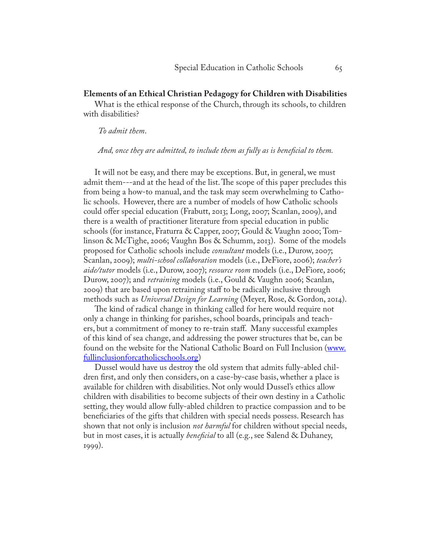#### **Elements of an Ethical Christian Pedagogy for Children with Disabilities**

What is the ethical response of the Church, through its schools, to children with disabilities?

#### *To admit them*.

*And, once they are admitted, to include them as fully as is beneficial to them.* 

It will not be easy, and there may be exceptions. But, in general, we must admit them---and at the head of the list. The scope of this paper precludes this from being a how-to manual, and the task may seem overwhelming to Catholic schools. However, there are a number of models of how Catholic schools could offer special education (Frabutt, 2013; Long, 2007; Scanlan, 2009), and there is a wealth of practitioner literature from special education in public schools (for instance, Fraturra & Capper, 2007; Gould & Vaughn 2000; Tomlinson & McTighe, 2006; Vaughn Bos & Schumm, 2013). Some of the models proposed for Catholic schools include *consultant* models (i.e., Durow, 2007; Scanlan, 2009); *multi-school collaboration* models (i.e., DeFiore, 2006); *teacher's aide/tutor* models (i.e., Durow, 2007); *resource room* models (i.e., DeFiore, 2006; Durow, 2007); and *retraining* models (i.e., Gould & Vaughn 2006; Scanlan, 2009) that are based upon retraining staff to be radically inclusive through methods such as *Universal Design for Learning* (Meyer, Rose, & Gordon, 2014).

The kind of radical change in thinking called for here would require not only a change in thinking for parishes, school boards, principals and teachers, but a commitment of money to re-train staff. Many successful examples of this kind of sea change, and addressing the power structures that be, can be found on the website for the National Catholic Board on Full Inclusion ([www.](http://www.fullinclusionforcatholicschools.org) [fullinclusionforcatholicschools.org](http://www.fullinclusionforcatholicschools.org))

Dussel would have us destroy the old system that admits fully-abled children first, and only then considers, on a case-by-case basis, whether a place is available for children with disabilities. Not only would Dussel's ethics allow children with disabilities to become subjects of their own destiny in a Catholic setting, they would allow fully-abled children to practice compassion and to be beneficiaries of the gifts that children with special needs possess. Research has shown that not only is inclusion *not harmful* for children without special needs, but in most cases, it is actually *beneficial* to all (e.g., see Salend & Duhaney, 1999).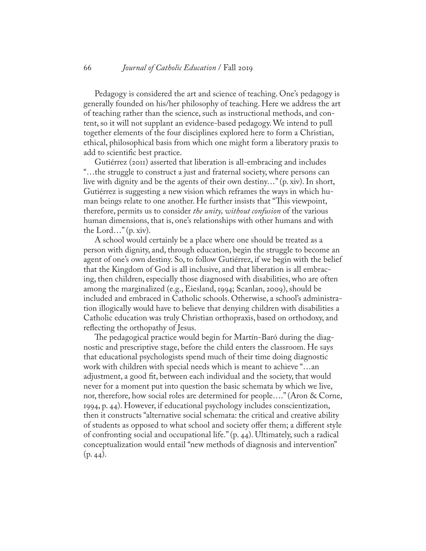Pedagogy is considered the art and science of teaching. One's pedagogy is generally founded on his/her philosophy of teaching. Here we address the art of teaching rather than the science, such as instructional methods, and content, so it will not supplant an evidence-based pedagogy. We intend to pull together elements of the four disciplines explored here to form a Christian, ethical, philosophical basis from which one might form a liberatory praxis to add to scientific best practice.

Gutiérrez (2011) asserted that liberation is all-embracing and includes "…the struggle to construct a just and fraternal society, where persons can live with dignity and be the agents of their own destiny…" (p. xiv). In short, Gutiérrez is suggesting a new vision which reframes the ways in which human beings relate to one another. He further insists that "This viewpoint, therefore, permits us to consider *the unity, without confusion* of the various human dimensions, that is, one's relationships with other humans and with the Lord..." $(p. xiv)$ .

A school would certainly be a place where one should be treated as a person with dignity, and, through education, begin the struggle to become an agent of one's own destiny. So, to follow Gutiérrez, if we begin with the belief that the Kingdom of God is all inclusive, and that liberation is all embracing, then children, especially those diagnosed with disabilities, who are often among the marginalized (e.g., Eiesland, 1994; Scanlan, 2009), should be included and embraced in Catholic schools. Otherwise, a school's administration illogically would have to believe that denying children with disabilities a Catholic education was truly Christian orthopraxis, based on orthodoxy, and reflecting the orthopathy of Jesus.

The pedagogical practice would begin for Martín-Baró during the diagnostic and prescriptive stage, before the child enters the classroom. He says that educational psychologists spend much of their time doing diagnostic work with children with special needs which is meant to achieve "…an adjustment, a good fit, between each individual and the society, that would never for a moment put into question the basic schemata by which we live, nor, therefore, how social roles are determined for people…." (Aron & Corne, 1994, p. 44). However, if educational psychology includes conscientization, then it constructs "alternative social schemata: the critical and creative ability of students as opposed to what school and society offer them; a different style of confronting social and occupational life." (p. 44). Ultimately, such a radical conceptualization would entail "new methods of diagnosis and intervention"  $(p. 44)$ .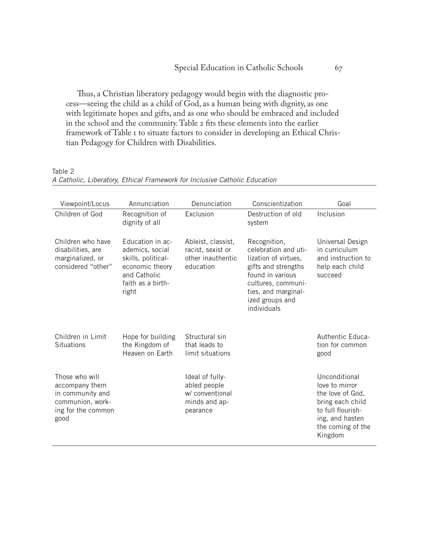Thus, a Christian liberatory pedagogy would begin with the diagnostic process—seeing the child as a child of God, as a human being with dignity, as one with legitimate hopes and gifts, and as one who should be embraced and included in the school and the community. Table 2 fits these elements into the earlier framework of Table 1 to situate factors to consider in developing an Ethical Christian Pedagogy for Children with Disabilities.

| Viewpoint/Locus                                                                                        | Annunciation                                                                                                               | Denunciation                                                                    | Conscientization                                                                                                                                                                       | Goal                                                                                                                                            |
|--------------------------------------------------------------------------------------------------------|----------------------------------------------------------------------------------------------------------------------------|---------------------------------------------------------------------------------|----------------------------------------------------------------------------------------------------------------------------------------------------------------------------------------|-------------------------------------------------------------------------------------------------------------------------------------------------|
| Children of God                                                                                        | Recognition of<br>dignity of all                                                                                           | Exclusion                                                                       | Destruction of old<br>system                                                                                                                                                           | Inclusion                                                                                                                                       |
| Children who have<br>disabilities, are<br>marginalized, or<br>considered "other"                       | Education in ac-<br>ademics, social<br>skills, political-<br>economic theory<br>and Catholic<br>faith as a birth-<br>right | Ableist, classist,<br>racist, sexist or<br>other inauthentic<br>education       | Recognition,<br>celebration and uti-<br>lization of virtues,<br>gifts and strengths<br>found in various<br>cultures, communi-<br>ties, and marginal-<br>ized groups and<br>individuals | Universal Design<br>in curriculum<br>and instruction to<br>help each child<br>succeed                                                           |
| Children in Limit<br><b>Situations</b>                                                                 | Hope for building<br>the Kingdom of<br>Heaven on Earth                                                                     | Structural sin<br>that leads to<br>limit situations                             |                                                                                                                                                                                        | Authentic Educa-<br>tion for common<br>good                                                                                                     |
| Those who will<br>accompany them<br>in community and<br>communion, work-<br>ing for the common<br>good |                                                                                                                            | Ideal of fully-<br>abled people<br>w/ conventional<br>minds and ap-<br>pearance |                                                                                                                                                                                        | Unconditional<br>love to mirror<br>the love of God,<br>bring each child<br>to full flourish-<br>ing, and hasten<br>the coming of the<br>Kingdom |

Table 2 *A Catholic, Liberatory, Ethical Framework for Inclusive Catholic Education*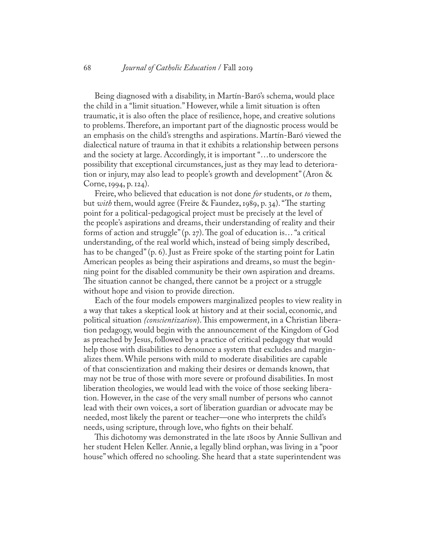Being diagnosed with a disability, in Martín-Baró's schema, would place the child in a "limit situation." However, while a limit situation is often traumatic, it is also often the place of resilience, hope, and creative solutions to problems. Therefore, an important part of the diagnostic process would be an emphasis on the child's strengths and aspirations. Martín-Baró viewed the dialectical nature of trauma in that it exhibits a relationship between persons and the society at large. Accordingly, it is important "…to underscore the possibility that exceptional circumstances, just as they may lead to deterioration or injury, may also lead to people's growth and development" (Aron & Corne, 1994, p. 124).

Freire, who believed that education is not done *for* students, or *to* them, but *with* them, would agree (Freire & Faundez, 1989, p. 34). "The starting point for a political-pedagogical project must be precisely at the level of the people's aspirations and dreams, their understanding of reality and their forms of action and struggle" (p. 27). The goal of education is… "a critical understanding, of the real world which, instead of being simply described, has to be changed" (p. 6). Just as Freire spoke of the starting point for Latin American peoples as being their aspirations and dreams, so must the beginning point for the disabled community be their own aspiration and dreams. The situation cannot be changed, there cannot be a project or a struggle without hope and vision to provide direction.

Each of the four models empowers marginalized peoples to view reality in a way that takes a skeptical look at history and at their social, economic, and political situation *(conscientization*). This empowerment, in a Christian liberation pedagogy, would begin with the announcement of the Kingdom of God as preached by Jesus, followed by a practice of critical pedagogy that would help those with disabilities to denounce a system that excludes and marginalizes them. While persons with mild to moderate disabilities are capable of that conscientization and making their desires or demands known, that may not be true of those with more severe or profound disabilities. In most liberation theologies, we would lead with the voice of those seeking liberation. However, in the case of the very small number of persons who cannot lead with their own voices, a sort of liberation guardian or advocate may be needed, most likely the parent or teacher—one who interprets the child's needs, using scripture, through love, who fights on their behalf.

This dichotomy was demonstrated in the late 1800s by Annie Sullivan and her student Helen Keller. Annie, a legally blind orphan, was living in a "poor house" which offered no schooling. She heard that a state superintendent was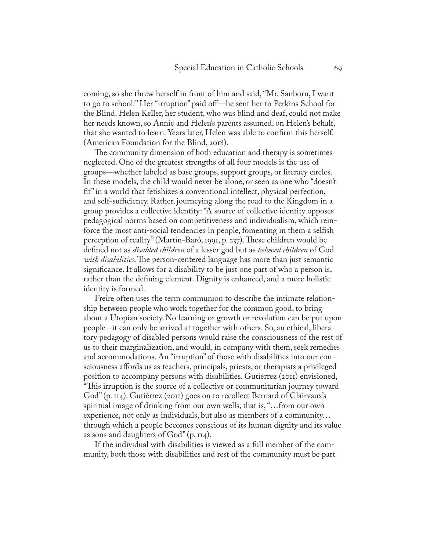coming, so she threw herself in front of him and said, "Mr. Sanborn, I want to go to school!" Her "irruption" paid off—he sent her to Perkins School for the Blind. Helen Keller, her student, who was blind and deaf, could not make her needs known, so Annie and Helen's parents assumed, on Helen's behalf, that she wanted to learn. Years later, Helen was able to confirm this herself. (American Foundation for the Blind, 2018).

The community dimension of both education and therapy is sometimes neglected. One of the greatest strengths of all four models is the use of groups—whether labeled as base groups, support groups, or literacy circles. In these models, the child would never be alone, or seen as one who "doesn't fit" in a world that fetishizes a conventional intellect, physical perfection, and self-sufficiency. Rather, journeying along the road to the Kingdom in a group provides a collective identity: "A source of collective identity opposes pedagogical norms based on competitiveness and individualism, which reinforce the most anti-social tendencies in people, fomenting in them a selfish perception of reality" (Martín-Baró, 1991, p. 237). These children would be defined not as *disabled children* of a lesser god but as *beloved children* of God *with disabilities*. The person-centered language has more than just semantic significance. It allows for a disability to be just one part of who a person is, rather than the defining element. Dignity is enhanced, and a more holistic identity is formed.

Freire often uses the term communion to describe the intimate relationship between people who work together for the common good, to bring about a Utopian society. No learning or growth or revolution can be put upon people--it can only be arrived at together with others. So, an ethical, liberatory pedagogy of disabled persons would raise the consciousness of the rest of us to their marginalization, and would, in company with them, seek remedies and accommodations. An "irruption" of those with disabilities into our consciousness affords us as teachers, principals, priests, or therapists a privileged position to accompany persons with disabilities. Gutiérrez (2011) envisioned, "This irruption is the source of a collective or communitarian journey toward God" (p. 114). Gutiérrez (2011) goes on to recollect Bernard of Clairvaux's spiritual image of drinking from our own wells, that is, "…from our own experience, not only as individuals, but also as members of a community… through which a people becomes conscious of its human dignity and its value as sons and daughters of  $God" (p. 114)$ .

If the individual with disabilities is viewed as a full member of the community, both those with disabilities and rest of the community must be part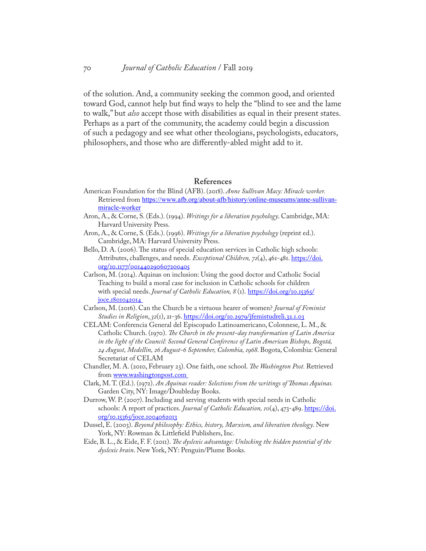of the solution. And, a community seeking the common good, and oriented toward God, cannot help but find ways to help the "blind to see and the lame to walk," but *also* accept those with disabilities as equal in their present states. Perhaps as a part of the community, the academy could begin a discussion of such a pedagogy and see what other theologians, psychologists, educators, philosophers, and those who are differently-abled might add to it.

#### **References**

- American Foundation for the Blind (AFB). (2018). *Anne Sullivan Macy: Miracle worker.*  Retrieved from [https://www.afb.org/about-afb/history/online-museums/anne-sullivan](https://www.afb.org/about-afb/history/online-museums/anne-sullivan-miracle-worker)[miracle-worker](https://www.afb.org/about-afb/history/online-museums/anne-sullivan-miracle-worker)
- Aron, A., & Corne, S. (Eds.). (1994). *Writings for a liberation psychology*. Cambridge, MA: Harvard University Press.
- Aron, A., & Corne, S. (Eds.). (1996). *Writings for a liberation psychology* (reprint ed.). Cambridge, MA: Harvard University Press.
- Bello, D. A. (2006). The status of special education services in Catholic high schools: Attributes, challenges, and needs. *Exceptional Children*, 72(4), 461-481. https://doi. org/10.1177/001440290607200405
- Carlson, M. (2014). Aquinas on inclusion: Using the good doctor and Catholic Social Teaching to build a moral case for inclusion in Catholic schools for children with special needs. *Journal of Catholic Education*,  $8$  (1). [https://doi.org/10.15365/](https://doi.org/10.15365/joce.1801042014  ) [joce.1801042014](https://doi.org/10.15365/joce.1801042014  )
- Carlson, M. (2016). Can the Church be a virtuous hearer of women? *Journal of Feminist Studies in Religion*, *32*(1), 21-36. [https://doi.org/10.2979/jfemistudreli.32.1.03](https://doi.org/10.2979/jfemistudreli.32.1.03 )
- CELAM: Conferencia General del Episcopado Latinoamericano, Colonnese, L. M., & Catholic Church. (1970). *The Church in the present-day transformation of Latin America in the light of the Council: Second General Conference of Latin American Bishops, Bogotá, 24 August, Medellin, 26 August-6 September, Colombia, 1968*. Bogota, Colombia: General Secretariat of CELAM
- Chandler, M. A. (2010, February 23). One faith, one school. *The Washington Post.* Retrieved from www.washingtonpost.com
- Clark, M. T. (Ed.). (1972). *An Aquinas reader: Selections from the writings of Thomas Aquinas.*  Garden City, NY: Image/Doubleday Books.
- Durrow, W. P. (2007). Including and serving students with special needs in Catholic schools: A report of practices. Journal of Catholic Education, 10(4), 473-489. [https://doi.](https://doi.org/10.15365/joce.1004062013 ) [org/10.15365/joce.1004062013](https://doi.org/10.15365/joce.1004062013 )
- Dussel, E. (2003). *Beyond philosophy: Ethics, history, Marxism, and liberation theology*. New York, NY: Rowman & Littlefield Publishers, Inc.
- Eide, B. L., & Eide, F. F. (2011). *The dyslexic advantage: Unlocking the hidden potential of the dyslexic brain*. New York, NY: Penguin/Plume Books.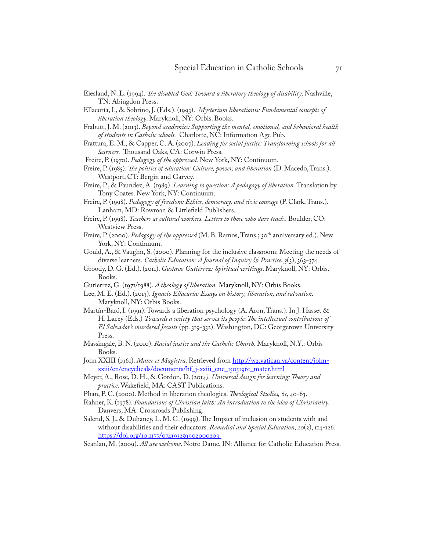Eiesland, N. L. (1994). *The disabled God: Toward a liberatory theology of disability*. Nashville, TN: Abingdon Press.

Ellacuría, I., & Sobrino, J. (Eds.). (1993). *Mysterium liberationis: Fundamental concepts of liberation theology*. Maryknoll, NY: Orbis. Books.

- Frabutt, J. M. (2013). *Beyond academics: Supporting the mental, emotional, and behavioral health of students in Catholic schools.* Charlotte, NC: Information Age Pub.
- Frattura, E. M., & Capper, C. A. (2007). *Leading for social justice: Transforming schools for all learners.* Thousand Oaks, CA: Corwin Press.
- Freire, P. (1970). *Pedagogy of the oppressed.* New York, NY: Continuum.

- Freire, P., & Faundez, A. (1989). *Learning to question: A pedagogy of liberation.* Translation by Tony Coates. New York, NY: Continuum.
- Freire, P. (1998). *Pedagogy of freedom: Ethics, democracy, and civic courage* (P. Clark, Trans.). Lanham, MD: Rowman & Littlefield Publishers.
- Freire, P. (1998). *Teachers as cultural workers. Letters to those who dare teach..* Boulder, CO: Westview Press.
- Freire, P. (2000). *Pedagogy of the oppressed* (M. B. Ramos, Trans.; 30<sup>th</sup> anniversary ed.). New York, NY: Continuum.
- Gould, A., & Vaughn, S. (2000). Planning for the inclusive classroom: Meeting the needs of diverse learners. *Catholic Education: A Journal of Inquiry & Practice, 3*(3), 363-374.
- Groody, D. G. (Ed.). (2011). *Gustavo Gutiérrez: Spiritual writings*. Maryknoll, NY: Orbis. Books.
- Gutierrez, G. (1971/1988). *A theology of liberation.* Maryknoll, NY: Orbis Books.
- Lee, M. E. (Ed.). (2013). *Ignacio Ellacuría: Essays on history, liberation, and salvation.* Maryknoll, NY: Orbis Books.
- Martín-Baró, I. (1991). Towards a liberation psychology (A. Aron, Trans.). In J. Hasset & H. Lacey (Eds.) *Towards a society that serves its people: The intellectual contributions of El Salvador's murdered Jesuits* (pp. 319-332). Washington, DC: Georgetown University Press.
- Massingale, B. N. (2010). *Racial justice and the Catholic Church.* Maryknoll, N.Y.: Orbis Books.
- John XXIII (1961). *Mater et Magistra*. Retrieved from [http://w2.vatican.va/content/john](http://w2.vatican.va/content/john-xxiii/en/encyclicals/documents/hf_j-xxiii_enc_15051961_mater.html )[xxiii/en/encyclicals/documents/hf\\_j-xxiii\\_enc\\_15051961\\_mater.html](http://w2.vatican.va/content/john-xxiii/en/encyclicals/documents/hf_j-xxiii_enc_15051961_mater.html )
- Meyer, A., Rose, D. H., & Gordon, D. (2014*). Universal design for learning: Theory and practice*. Wakefield, MA: CAST Publications.
- Phan, P. C. (2000). Method in liberation theologies. *Theological Studies, 61*, 40-63.
- Rahner, K. (1978). *Foundations of Christian faith: An introduction to the idea of Christianity.*  Danvers, MA: Crossroads Publishing.
- Salend, S. J., & Duhaney, L. M. G. (1999). The Impact of inclusion on students with and without disabilities and their educators. *Remedial and Special Education*, *20*(2), 114-126. [https://doi.org/10.1177/074193259902000209](https://doi.org/10.1177/074193259902000209 )
- Scanlan, M. (2009). *All are welcome*. Notre Dame, IN: Alliance for Catholic Education Press.

Freire, P. (1985). *The politics of education: Culture, power, and liberation* (D. Macedo, Trans.). Westport, CT: Bergin and Garvey.